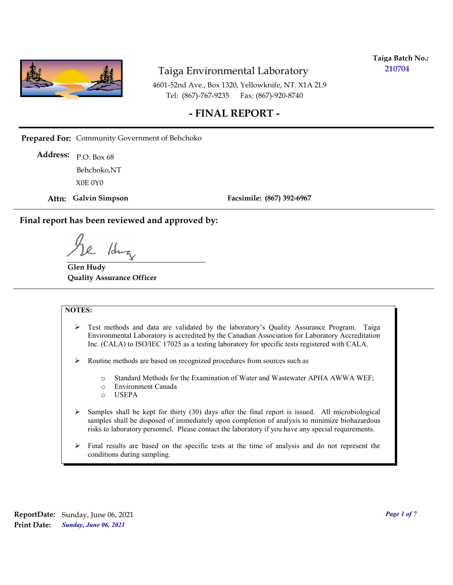

**Taiga Batch No.: 210704**

4601-52nd Ave., Box 1320, Yellowknife, NT. X1A 2L9 Tel: (867)-767-9235 Fax: (867)-920-8740

## **- FINAL REPORT -**

**Prepared For:** Community Government of Behchoko

P.O. Box 68 **Address:** X0E 0Y0 Behchoko,NT

**Attn: Galvin Simpson**

**Facsimile: (867) 392-6967**

**Final report has been reviewed and approved by:**

1dr

**Glen Hudy Quality Assurance Officer**

#### **NOTES:**

- $\triangleright$  Test methods and data are validated by the laboratory's Quality Assurance Program. Taiga Environmental Laboratory is accredited by the Canadian Association for Laboratory Accreditation Inc. (CALA) to ISO/IEC 17025 as a testing laboratory for specific tests registered with CALA.
- Routine methods are based on recognized procedures from sources such as
	- o Standard Methods for the Examination of Water and Wastewater APHA AWWA WEF;
	- o Environment Canada
	- o USEPA
- $\triangleright$  Samples shall be kept for thirty (30) days after the final report is issued. All microbiological samples shall be disposed of immediately upon completion of analysis to minimize biohazardous risks to laboratory personnel. Please contact the laboratory if you have any special requirements.
- $\triangleright$  Final results are based on the specific tests at the time of analysis and do not represent the conditions during sampling.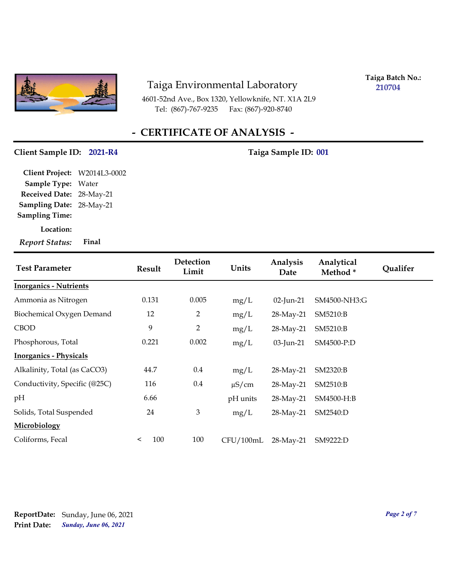

4601-52nd Ave., Box 1320, Yellowknife, NT. X1A 2L9 Tel: (867)-767-9235 Fax: (867)-920-8740

**Taiga Batch No.: 210704**

# **- CERTIFICATE OF ANALYSIS -**

#### Client Sample ID: 2021-R4 Taiga Sample ID: 001

**Location: Sampling Date:** 28-May-21 **Received Date:** 28-May-21 **Client Project:** W2014L3-0002 **Sample Type:** Water **Sampling Time:** *Report Status:* **Final**

| <b>Test Parameter</b>         | <b>Result</b>  | Detection<br>Limit | Units      | Analysis<br>Date | Analytical<br>Method* | <b>Qualifer</b> |
|-------------------------------|----------------|--------------------|------------|------------------|-----------------------|-----------------|
| <b>Inorganics - Nutrients</b> |                |                    |            |                  |                       |                 |
| Ammonia as Nitrogen           | 0.131          | 0.005              | mg/L       | $02$ -Jun-21     | SM4500-NH3:G          |                 |
| Biochemical Oxygen Demand     | 12             | $\overline{2}$     | mg/L       | 28-May-21        | SM5210:B              |                 |
| <b>CBOD</b>                   | 9              | $\overline{2}$     | mg/L       | 28-May-21        | SM5210:B              |                 |
| Phosphorous, Total            | 0.221          | 0.002              | mg/L       | $03$ -Jun-21     | SM4500-P:D            |                 |
| <b>Inorganics - Physicals</b> |                |                    |            |                  |                       |                 |
| Alkalinity, Total (as CaCO3)  | 44.7           | $0.4\,$            | mg/L       | 28-May-21        | SM2320:B              |                 |
| Conductivity, Specific (@25C) | 116            | 0.4                | $\mu$ S/cm | 28-May-21        | SM2510:B              |                 |
| pH                            | 6.66           |                    | pH units   | 28-May-21        | SM4500-H:B            |                 |
| Solids, Total Suspended       | 24             | $\mathfrak{B}$     | mg/L       | 28-May-21        | SM2540:D              |                 |
| Microbiology                  |                |                    |            |                  |                       |                 |
| Coliforms, Fecal              | 100<br>$\,<\,$ | 100                | CFU/100mL  | 28-May-21        | SM9222:D              |                 |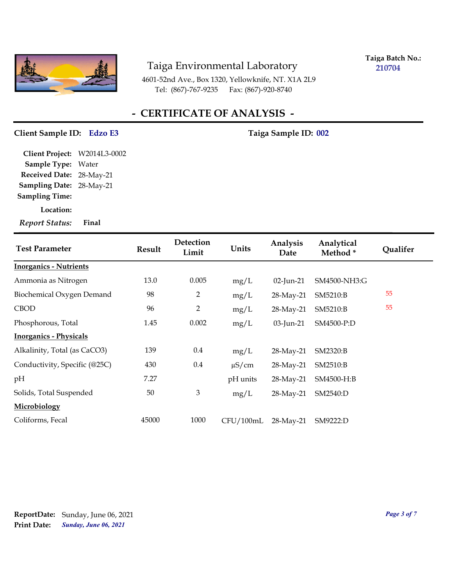

**Taiga Batch No.: 210704**

4601-52nd Ave., Box 1320, Yellowknife, NT. X1A 2L9 Tel: (867)-767-9235 Fax: (867)-920-8740

# **- CERTIFICATE OF ANALYSIS -**

#### **Client Sample ID: Taiga Sample ID: Edzo E3 002**

**Sampling Date:** 28-May-21 **Received Date:** 28-May-21 **Client Project:** W2014L3-0002 **Sample Type:** Water **Sampling Time:**

**Location:**

| <b>Test Parameter</b>         | <b>Result</b> | Detection<br>Limit | Units      | Analysis<br>Date | Analytical<br>Method* | <b>Qualifer</b> |
|-------------------------------|---------------|--------------------|------------|------------------|-----------------------|-----------------|
| <b>Inorganics - Nutrients</b> |               |                    |            |                  |                       |                 |
| Ammonia as Nitrogen           | 13.0          | 0.005              | mg/L       | $02$ -Jun-21     | SM4500-NH3:G          |                 |
| Biochemical Oxygen Demand     | 98            | 2                  | mg/L       | 28-May-21        | SM5210:B              | 55              |
| <b>CBOD</b>                   | 96            | 2                  | mg/L       | 28-May-21        | SM5210:B              | 55              |
| Phosphorous, Total            | 1.45          | 0.002              | mg/L       | $03$ -Jun-21     | SM4500-P:D            |                 |
| <b>Inorganics - Physicals</b> |               |                    |            |                  |                       |                 |
| Alkalinity, Total (as CaCO3)  | 139           | $0.4\,$            | mg/L       | 28-May-21        | SM2320:B              |                 |
| Conductivity, Specific (@25C) | 430           | 0.4                | $\mu$ S/cm | 28-May-21        | SM2510:B              |                 |
| pH                            | 7.27          |                    | pH units   | 28-May-21        | SM4500-H:B            |                 |
| Solids, Total Suspended       | 50            | $\mathfrak{Z}$     | mg/L       | 28-May-21        | SM2540:D              |                 |
| Microbiology                  |               |                    |            |                  |                       |                 |
| Coliforms, Fecal              | 45000         | 1000               | CFU/100mL  | 28-May-21        | SM9222:D              |                 |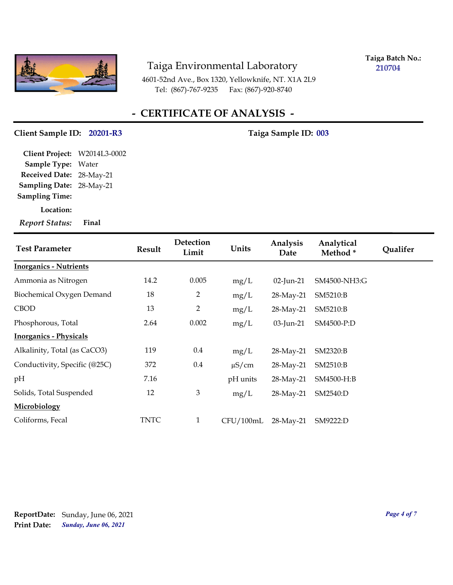

**Taiga Batch No.: 210704**

4601-52nd Ave., Box 1320, Yellowknife, NT. X1A 2L9 Tel: (867)-767-9235 Fax: (867)-920-8740

# **- CERTIFICATE OF ANALYSIS -**

#### Client Sample ID: 20201-R3 Taiga Sample ID: 003

**Sampling Date:** 28-May-21 **Received Date:** 28-May-21 **Client Project:** W2014L3-0002 **Sample Type:** Water **Sampling Time:**

**Location:**

| <b>Test Parameter</b>         | <b>Result</b> | Detection<br>Limit | Units      | Analysis<br>Date | Analytical<br>Method* | Qualifer |
|-------------------------------|---------------|--------------------|------------|------------------|-----------------------|----------|
| <b>Inorganics - Nutrients</b> |               |                    |            |                  |                       |          |
| Ammonia as Nitrogen           | 14.2          | 0.005              | mg/L       | $02$ -Jun-21     | SM4500-NH3:G          |          |
| Biochemical Oxygen Demand     | 18            | 2                  | mg/L       | 28-May-21        | SM5210:B              |          |
| <b>CBOD</b>                   | 13            | $\overline{2}$     | mg/L       | 28-May-21        | SM5210:B              |          |
| Phosphorous, Total            | 2.64          | 0.002              | mg/L       | $03$ -Jun-21     | SM4500-P:D            |          |
| <b>Inorganics - Physicals</b> |               |                    |            |                  |                       |          |
| Alkalinity, Total (as CaCO3)  | 119           | $0.4\,$            | mg/L       | 28-May-21        | SM2320:B              |          |
| Conductivity, Specific (@25C) | 372           | 0.4                | $\mu$ S/cm | 28-May-21        | SM2510:B              |          |
| pH                            | 7.16          |                    | pH units   | 28-May-21        | SM4500-H:B            |          |
| Solids, Total Suspended       | 12            | 3                  | mg/L       | 28-May-21        | SM2540:D              |          |
| Microbiology                  |               |                    |            |                  |                       |          |
| Coliforms, Fecal              | <b>TNTC</b>   | $\mathbf{1}$       | CFU/100mL  | 28-May-21        | SM9222:D              |          |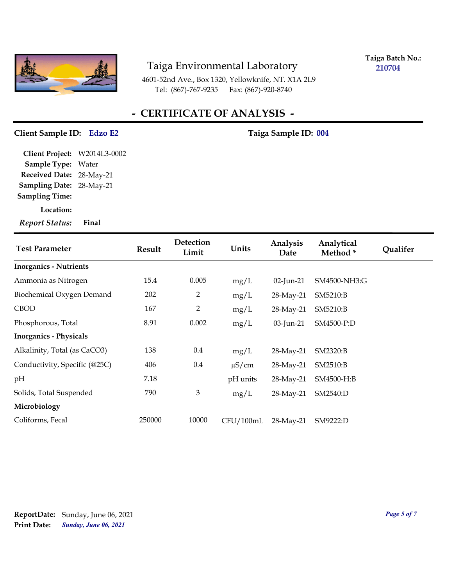

**Taiga Batch No.: 210704**

4601-52nd Ave., Box 1320, Yellowknife, NT. X1A 2L9 Tel: (867)-767-9235 Fax: (867)-920-8740

# **- CERTIFICATE OF ANALYSIS -**

#### **Client Sample ID: Taiga Sample ID: Edzo E2 004**

**Sampling Date:** 28-May-21 **Received Date:** 28-May-21 **Client Project:** W2014L3-0002 **Sample Type:** Water **Sampling Time:**

**Location:**

| <b>Test Parameter</b>         | <b>Result</b> | Detection<br>Limit | Units      | Analysis<br>Date | Analytical<br>Method* | <b>Qualifer</b> |
|-------------------------------|---------------|--------------------|------------|------------------|-----------------------|-----------------|
| <b>Inorganics - Nutrients</b> |               |                    |            |                  |                       |                 |
| Ammonia as Nitrogen           | 15.4          | 0.005              | mg/L       | $02$ -Jun-21     | SM4500-NH3:G          |                 |
| Biochemical Oxygen Demand     | 202           | 2                  | mg/L       | 28-May-21        | SM5210:B              |                 |
| <b>CBOD</b>                   | 167           | 2                  | mg/L       | 28-May-21        | SM5210:B              |                 |
| Phosphorous, Total            | 8.91          | 0.002              | mg/L       | 03-Jun-21        | SM4500-P:D            |                 |
| <b>Inorganics - Physicals</b> |               |                    |            |                  |                       |                 |
| Alkalinity, Total (as CaCO3)  | 138           | $0.4\,$            | mg/L       | 28-May-21        | SM2320:B              |                 |
| Conductivity, Specific (@25C) | 406           | 0.4                | $\mu$ S/cm | 28-May-21        | SM2510:B              |                 |
| pH                            | 7.18          |                    | pH units   | 28-May-21        | SM4500-H:B            |                 |
| Solids, Total Suspended       | 790           | 3                  | mg/L       | 28-May-21        | SM2540:D              |                 |
| Microbiology                  |               |                    |            |                  |                       |                 |
| Coliforms, Fecal              | 250000        | 10000              | CFU/100mL  | 28-May-21        | SM9222:D              |                 |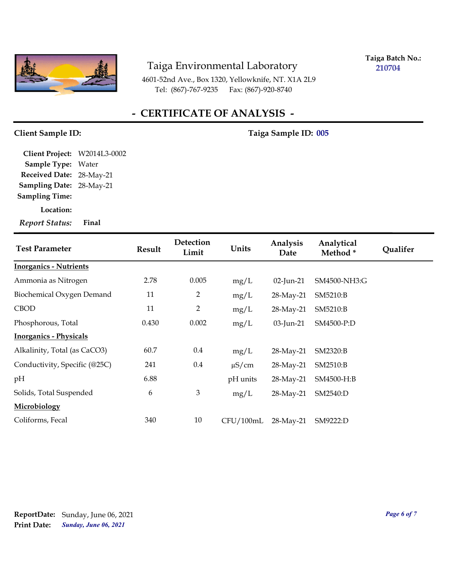

**Taiga Batch No.: 210704**

4601-52nd Ave., Box 1320, Yellowknife, NT. X1A 2L9 Tel: (867)-767-9235 Fax: (867)-920-8740

# **- CERTIFICATE OF ANALYSIS -**

**Client Sample ID: Taiga Sample ID: 005**

**Sampling Date:** 28-May-21 **Received Date:** 28-May-21 **Client Project:** W2014L3-0002 **Sample Type:** Water **Sampling Time:**

**Location:**

| <b>Test Parameter</b>         | <b>Result</b> | Detection<br>Limit | Units      | Analysis<br>Date | Analytical<br>Method* | Qualifer |
|-------------------------------|---------------|--------------------|------------|------------------|-----------------------|----------|
| <b>Inorganics - Nutrients</b> |               |                    |            |                  |                       |          |
| Ammonia as Nitrogen           | 2.78          | 0.005              | mg/L       | $02$ -Jun-21     | SM4500-NH3:G          |          |
| Biochemical Oxygen Demand     | 11            | 2                  | mg/L       | 28-May-21        | SM5210:B              |          |
| <b>CBOD</b>                   | 11            | $\overline{2}$     | mg/L       | 28-May-21        | SM5210:B              |          |
| Phosphorous, Total            | 0.430         | 0.002              | mg/L       | $03$ -Jun-21     | SM4500-P:D            |          |
| <b>Inorganics - Physicals</b> |               |                    |            |                  |                       |          |
| Alkalinity, Total (as CaCO3)  | 60.7          | $0.4\,$            | mg/L       | 28-May-21        | SM2320:B              |          |
| Conductivity, Specific (@25C) | 241           | 0.4                | $\mu$ S/cm | 28-May-21        | SM2510:B              |          |
| pH                            | 6.88          |                    | pH units   | 28-May-21        | SM4500-H:B            |          |
| Solids, Total Suspended       | 6             | 3                  | mg/L       | 28-May-21        | SM2540:D              |          |
| Microbiology                  |               |                    |            |                  |                       |          |
| Coliforms, Fecal              | 340           | 10                 | CFU/100mL  | 28-May-21        | SM9222:D              |          |